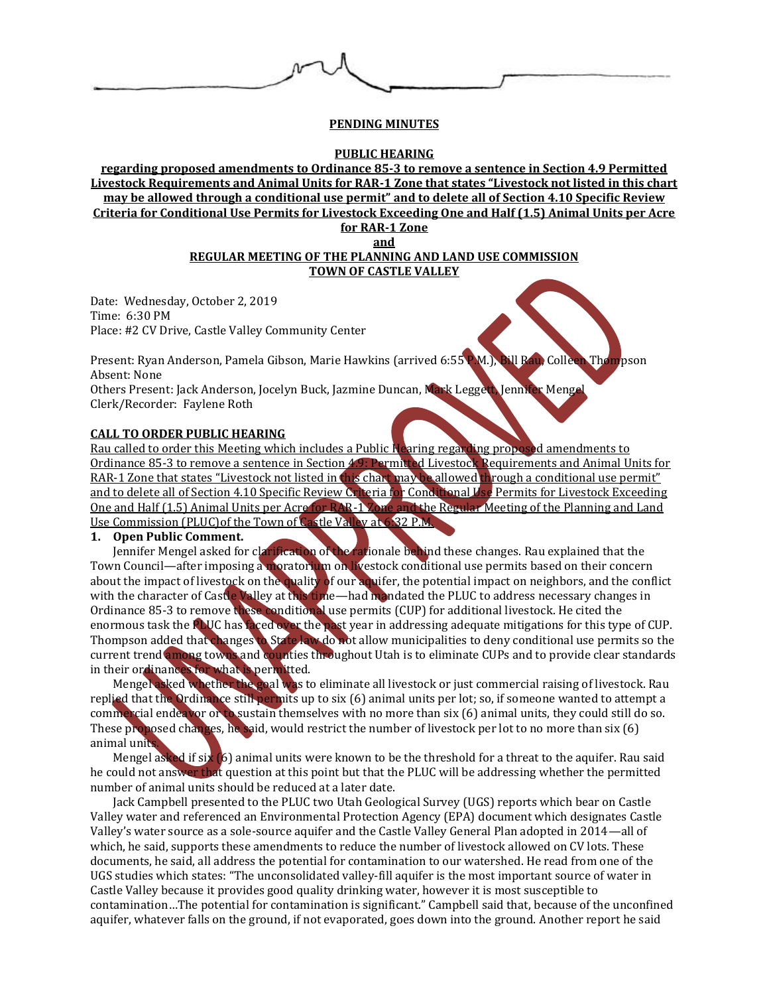## **PENDING MINUTES**

### **PUBLIC HEARING**

**regarding proposed amendments to Ordinance 85-3 to remove a sentence in Section 4.9 Permitted Livestock Requirements and Animal Units for RAR-1 Zone that states "Livestock not listed in this chart may be allowed through a conditional use permit" and to delete all of Section 4.10 Specific Review Criteria for Conditional Use Permits for Livestock Exceeding One and Half (1.5) Animal Units per Acre** 

**for RAR-1 Zone and**

## **REGULAR MEETING OF THE PLANNING AND LAND USE COMMISSION TOWN OF CASTLE VALLEY**

Date: Wednesday, October 2, 2019 Time: 6:30 PM Place: #2 CV Drive, Castle Valley Community Center

Present: Ryan Anderson, Pamela Gibson, Marie Hawkins (arrived 6:55 P.M.), Bill Rau, Colleen Thompson Absent: None

Others Present: Jack Anderson, Jocelyn Buck, Jazmine Duncan, Mark Leggett, Jennifer Mengel Clerk/Recorder: Faylene Roth

### **CALL TO ORDER PUBLIC HEARING**

Rau called to order this Meeting which includes a Public Hearing regarding proposed amendments to Ordinance 85-3 to remove a sentence in Section 4.9: Permitted Livestock Requirements and Animal Units for RAR-1 Zone that states "Livestock not listed in this chart may be allowed through a conditional use permit" and to delete all of Section 4.10 Specific Review Criteria for Conditional Use Permits for Livestock Exceeding One and Half (1.5) Animal Units per Acre for RAR-1 Zone and the Regular Meeting of the Planning and Land Use Commission (PLUC)of the Town of Castle Valley at 6:32 P.M.

## **1. Open Public Comment.**

Jennifer Mengel asked for clarification of the rationale behind these changes. Rau explained that the Town Council—after imposing a moratorium on livestock conditional use permits based on their concern about the impact of livestock on the quality of our aquifer, the potential impact on neighbors, and the conflict with the character of Castle Valley at this time—had mandated the PLUC to address necessary changes in Ordinance 85-3 to remove these conditional use permits (CUP) for additional livestock. He cited the enormous task the **PLUC** has faced over the past year in addressing adequate mitigations for this type of CUP. Thompson added that changes to State law do not allow municipalities to deny conditional use permits so the current trend among towns and counties throughout Utah is to eliminate CUPs and to provide clear standards in their ordinances for what is permitted.

Mengel asked whether the goal was to eliminate all livestock or just commercial raising of livestock. Rau replied that the Ordinance still permits up to six (6) animal units per lot; so, if someone wanted to attempt a commercial endeavor or to sustain themselves with no more than six (6) animal units, they could still do so. These proposed changes, he said, would restrict the number of livestock per lot to no more than six (6) animal units.

Mengel asked if six (6) animal units were known to be the threshold for a threat to the aquifer. Rau said he could not answer that question at this point but that the PLUC will be addressing whether the permitted number of animal units should be reduced at a later date.

Jack Campbell presented to the PLUC two Utah Geological Survey (UGS) reports which bear on Castle Valley water and referenced an Environmental Protection Agency (EPA) document which designates Castle Valley's water source as a sole-source aquifer and the Castle Valley General Plan adopted in 2014—all of which, he said, supports these amendments to reduce the number of livestock allowed on CV lots. These documents, he said, all address the potential for contamination to our watershed. He read from one of the UGS studies which states: "The unconsolidated valley-fill aquifer is the most important source of water in Castle Valley because it provides good quality drinking water, however it is most susceptible to contamination…The potential for contamination is significant." Campbell said that, because of the unconfined aquifer, whatever falls on the ground, if not evaporated, goes down into the ground. Another report he said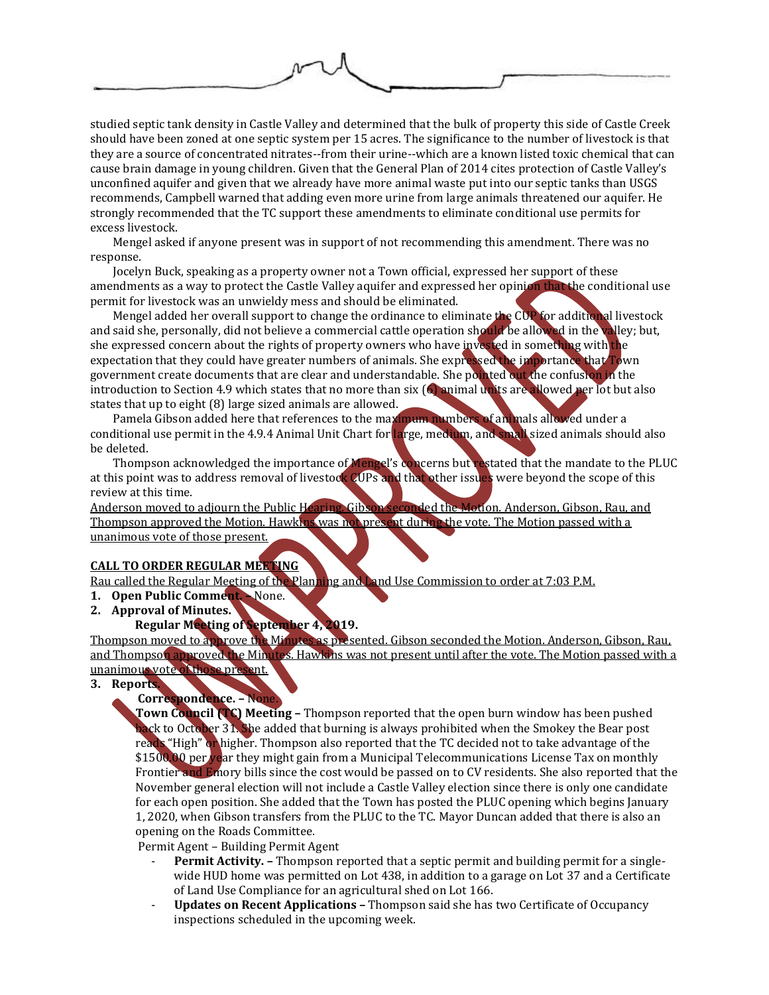

studied septic tank density in Castle Valley and determined that the bulk of property this side of Castle Creek should have been zoned at one septic system per 15 acres. The significance to the number of livestock is that they are a source of concentrated nitrates--from their urine--which are a known listed toxic chemical that can cause brain damage in young children. Given that the General Plan of 2014 cites protection of Castle Valley's unconfined aquifer and given that we already have more animal waste put into our septic tanks than USGS recommends, Campbell warned that adding even more urine from large animals threatened our aquifer. He strongly recommended that the TC support these amendments to eliminate conditional use permits for excess livestock.

Mengel asked if anyone present was in support of not recommending this amendment. There was no response.

Jocelyn Buck, speaking as a property owner not a Town official, expressed her support of these amendments as a way to protect the Castle Valley aquifer and expressed her opinion that the conditional use permit for livestock was an unwieldy mess and should be eliminated.

Mengel added her overall support to change the ordinance to eliminate the CUP for additional livestock and said she, personally, did not believe a commercial cattle operation should be allowed in the valley; but, she expressed concern about the rights of property owners who have invested in something with the expectation that they could have greater numbers of animals. She expressed the importance that Town government create documents that are clear and understandable. She pointed out the confusion in the introduction to Section 4.9 which states that no more than six (6) animal units are allowed per lot but also states that up to eight (8) large sized animals are allowed.

Pamela Gibson added here that references to the maximum numbers of animals allowed under a conditional use permit in the 4.9.4 Animal Unit Chart for large, medium, and small sized animals should also be deleted.

Thompson acknowledged the importance of Mengel's concerns but restated that the mandate to the PLUC at this point was to address removal of livestock CUPs and that other issues were beyond the scope of this review at this time.

Anderson moved to adjourn the Public Hearing. Gibson seconded the Motion. Anderson, Gibson, Rau, and Thompson approved the Motion. Hawkins was not present during the vote. The Motion passed with a unanimous vote of those present.

# **CALL TO ORDER REGULAR MEETING**

Rau called the Regular Meeting of the Planning and Land Use Commission to order at 7:03 P.M.

- **1. Open Public Comment. –** None.
- **2. Approval of Minutes.**

## **Regular Meeting of September 4, 2019.**

Thompson moved to approve the Minutes as presented. Gibson seconded the Motion. Anderson, Gibson, Rau, and Thompson approved the Minutes. Hawkins was not present until after the vote. The Motion passed with a unanimous vote of those present.

**3. Reports.**

# **Correspondence. –** None.

**Town Council (TC) Meeting –** Thompson reported that the open burn window has been pushed back to October 31. She added that burning is always prohibited when the Smokey the Bear post reads "High" or higher. Thompson also reported that the TC decided not to take advantage of the \$1500.00 per year they might gain from a Municipal Telecommunications License Tax on monthly Frontier and Emory bills since the cost would be passed on to CV residents. She also reported that the November general election will not include a Castle Valley election since there is only one candidate for each open position. She added that the Town has posted the PLUC opening which begins January 1, 2020, when Gibson transfers from the PLUC to the TC. Mayor Duncan added that there is also an opening on the Roads Committee.

Permit Agent – Building Permit Agent

- **Permit Activity. –** Thompson reported that a septic permit and building permit for a singlewide HUD home was permitted on Lot 438, in addition to a garage on Lot 37 and a Certificate of Land Use Compliance for an agricultural shed on Lot 166.
- **Updates on Recent Applications –** Thompson said she has two Certificate of Occupancy inspections scheduled in the upcoming week.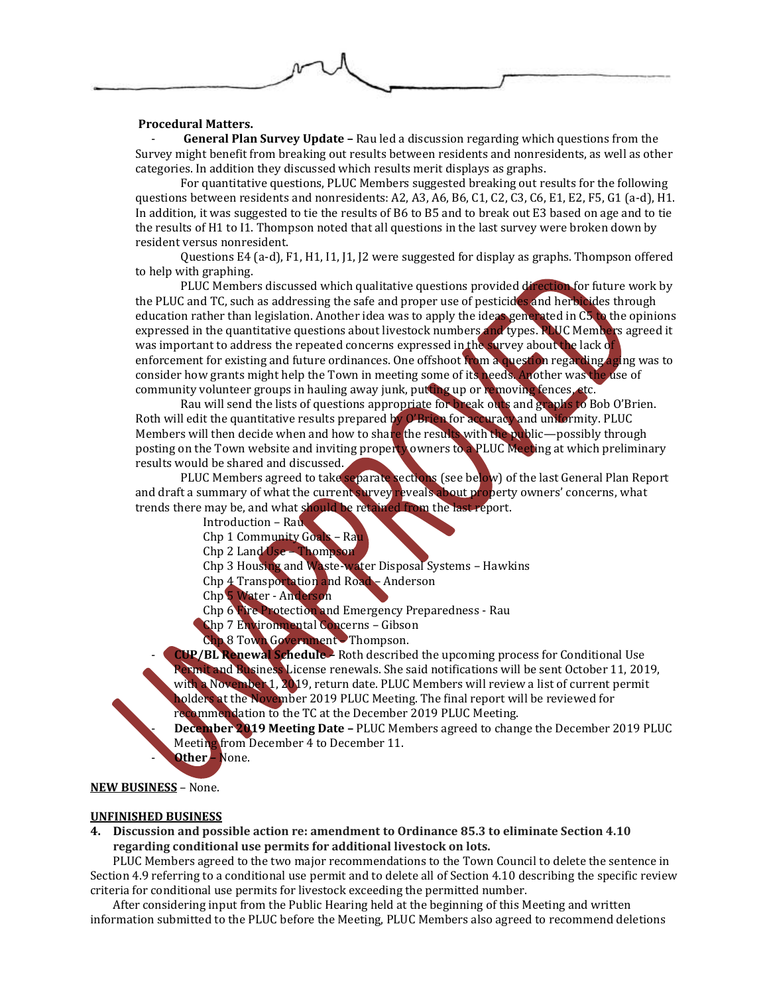## **Procedural Matters.**

- **General Plan Survey Update –** Rau led a discussion regarding which questions from the Survey might benefit from breaking out results between residents and nonresidents, as well as other categories. In addition they discussed which results merit displays as graphs.

For quantitative questions, PLUC Members suggested breaking out results for the following questions between residents and nonresidents: A2, A3, A6, B6, C1, C2, C3, C6, E1, E2, F5, G1 (a-d), H1. In addition, it was suggested to tie the results of B6 to B5 and to break out E3 based on age and to tie the results of H1 to I1. Thompson noted that all questions in the last survey were broken down by resident versus nonresident.

Questions E4 (a-d), F1, H1, I1, J1, J2 were suggested for display as graphs. Thompson offered to help with graphing.

PLUC Members discussed which qualitative questions provided direction for future work by the PLUC and TC, such as addressing the safe and proper use of pesticides and herbicides through education rather than legislation. Another idea was to apply the ideas generated in  $\overline{CS}$  to the opinions expressed in the quantitative questions about livestock numbers and types. RLUC Members agreed it was important to address the repeated concerns expressed in the survey about the lack of enforcement for existing and future ordinances. One offshoot  $\mathbf{\hat{r}}$  om a question regarding aging was to consider how grants might help the Town in meeting some of its needs. Another was the use of community volunteer groups in hauling away junk, putting up or removing fences, etc.

Rau will send the lists of questions appropriate for break outs and graphs to Bob O'Brien. Roth will edit the quantitative results prepared by O'Brien for accuracy and uniformity. PLUC Members will then decide when and how to share the results with the public—possibly through posting on the Town website and inviting property owners to a PLUC Meeting at which preliminary results would be shared and discussed.

PLUC Members agreed to take separate sections (see below) of the last General Plan Report and draft a summary of what the current survey reveals about property owners' concerns, what trends there may be, and what should be retained from the last report.

Introduction – Rau

Chp 1 Community Goals – Rau

Chp 2 Land Use – Thompson

Chp 3 Housing and Waste-water Disposal Systems – Hawkins

Chp 4 Transportation and Road – Anderson

Chp 5 Water - Anderson

Chp 6 Fire Protection and Emergency Preparedness - Rau

Chp 7 Environmental Concerns – Gibson

Chp 8 Town Government – Thompson.

- **CUP/BL Renewal Schedule –** Roth described the upcoming process for Conditional Use Permit and Business License renewals. She said notifications will be sent October 11, 2019, with a November 1, 2019, return date. PLUC Members will review a list of current permit holders at the November 2019 PLUC Meeting. The final report will be reviewed for recommendation to the TC at the December 2019 PLUC Meeting.

- **December 2019 Meeting Date –** PLUC Members agreed to change the December 2019 PLUC Meeting from December 4 to December 11.

- **Other –** None.

### **NEW BUSINESS** – None.

### **UNFINISHED BUSINESS**

**4. Discussion and possible action re: amendment to Ordinance 85.3 to eliminate Section 4.10 regarding conditional use permits for additional livestock on lots.**

PLUC Members agreed to the two major recommendations to the Town Council to delete the sentence in Section 4.9 referring to a conditional use permit and to delete all of Section 4.10 describing the specific review criteria for conditional use permits for livestock exceeding the permitted number.

After considering input from the Public Hearing held at the beginning of this Meeting and written information submitted to the PLUC before the Meeting, PLUC Members also agreed to recommend deletions